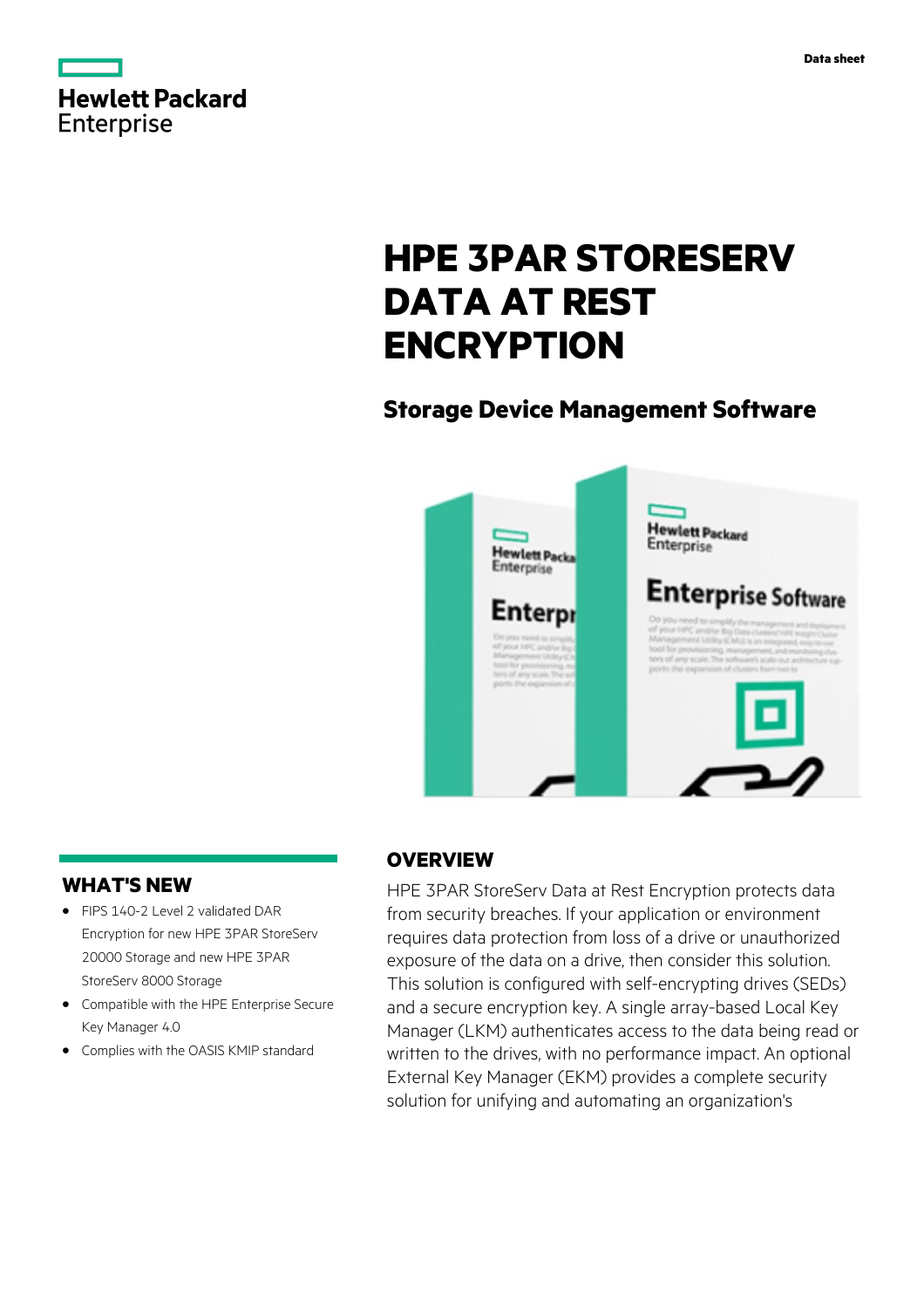

# **HPE 3PAR STORESERV DATA AT REST ENCRYPTION**

# **Storage Device Management Software**



## **WHAT'S NEW**

- **·** FIPS 140-2 Level 2 validated DAR Encryption for new HPE 3PAR StoreServ 20000 Storage and new HPE 3PAR StoreServ 8000 Storage
- **·** Compatible with the HPE Enterprise Secure Key Manager 4.0
- **·** Complies with the OASIS KMIP standard

## **OVERVIEW**

HPE 3PAR StoreServ Data at Rest Encryption protects data from security breaches. If your application or environment requires data protection from loss of a drive or unauthorized exposure of the data on a drive, then consider this solution. This solution is configured with self-encrypting drives (SEDs) and a secure encryption key. A single array-based Local Key Manager (LKM) authenticates access to the data being read or written to the drives, with no performance impact. An optional External Key Manager (EKM) provides a complete security solution for unifying and automating an organization's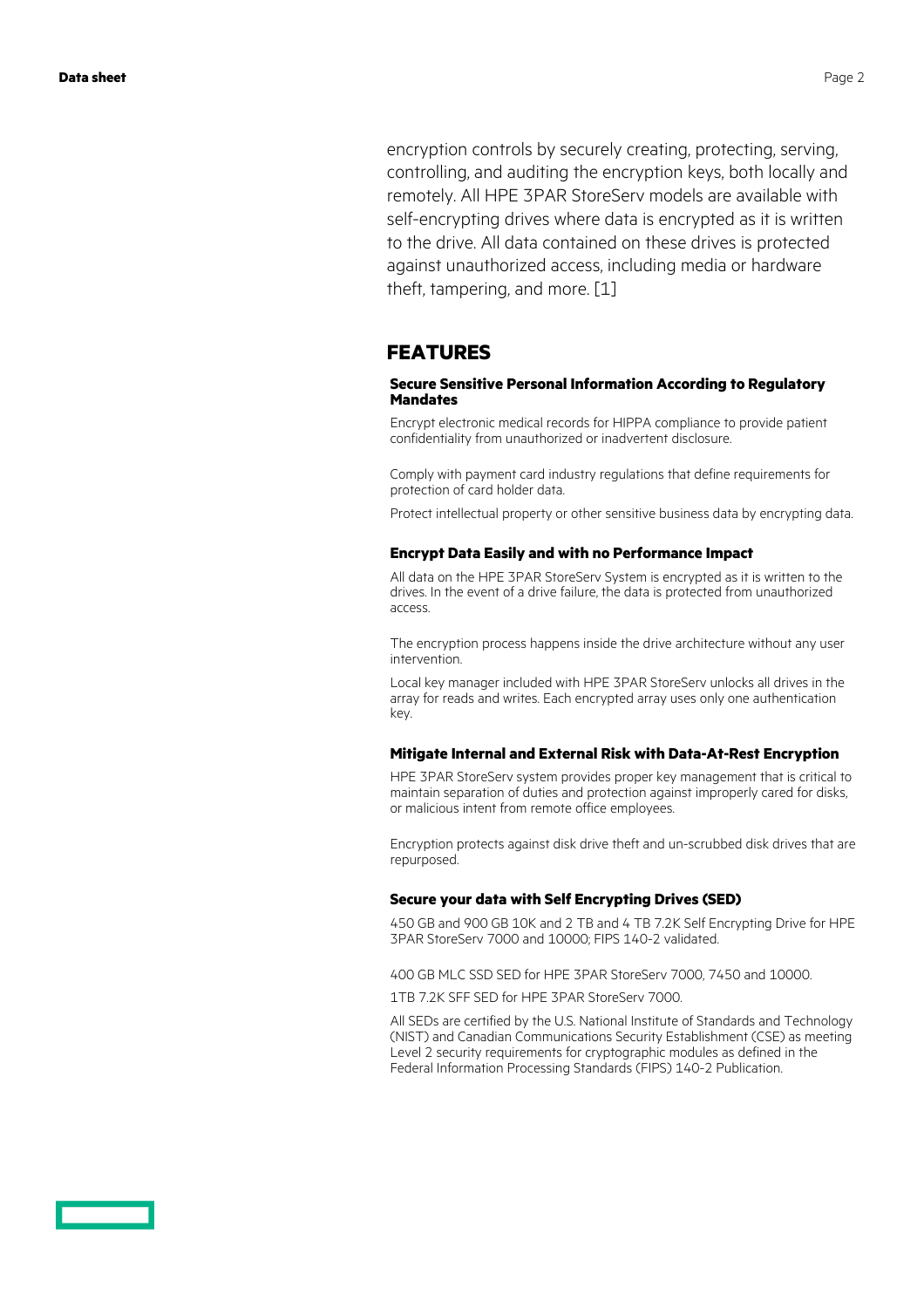encryption controls by securely creating, protecting, serving, controlling, and auditing the encryption keys, both locally and remotely. All HPE 3PAR StoreServ models are available with self-encrypting drives where data is encrypted as it is written to the drive. All data contained on these drives is protected against unauthorized access, including media or hardware theft, tampering, and more. [1]

## **FEATURES**

#### **Secure Sensitive Personal Information According to Regulatory Mandates**

Encrypt electronic medical records for HIPPA compliance to provide patient confidentiality from unauthorized or inadvertent disclosure.

Comply with payment card industry regulations that define requirements for protection of card holder data.

Protect intellectual property or other sensitive business data by encrypting data.

#### **Encrypt Data Easily and with no Performance Impact**

All data on the HPE 3PAR StoreServ System is encrypted as it is written to the drives. In the event of a drive failure, the data is protected from unauthorized access.

The encryption process happens inside the drive architecture without any user intervention.

Local key manager included with HPE 3PAR StoreServ unlocks all drives in the array for reads and writes. Each encrypted array uses only one authentication key.

#### **Mitigate Internal and External Risk with Data-At-Rest Encryption**

HPE 3PAR StoreServ system provides proper key management that is critical to maintain separation of duties and protection against improperly cared for disks, or malicious intent from remote office employees.

Encryption protects against disk drive theft and un-scrubbed disk drives that are repurposed.

#### **Secure your data with Self Encrypting Drives (SED)**

450 GB and 900 GB 10K and 2 TB and 4 TB 7.2K Self Encrypting Drive for HPE 3PAR StoreServ 7000 and 10000; FIPS 140-2 validated.

400 GB MLC SSD SED for HPE 3PAR StoreServ 7000, 7450 and 10000.

1TB 7.2K SFF SED for HPE 3PAR StoreServ 7000.

All SEDs are certified by the U.S. National Institute of Standards and Technology (NIST) and Canadian Communications Security Establishment (CSE) as meeting Level 2 security requirements for cryptographic modules as defined in the Federal Information Processing Standards (FIPS) 140-2 Publication.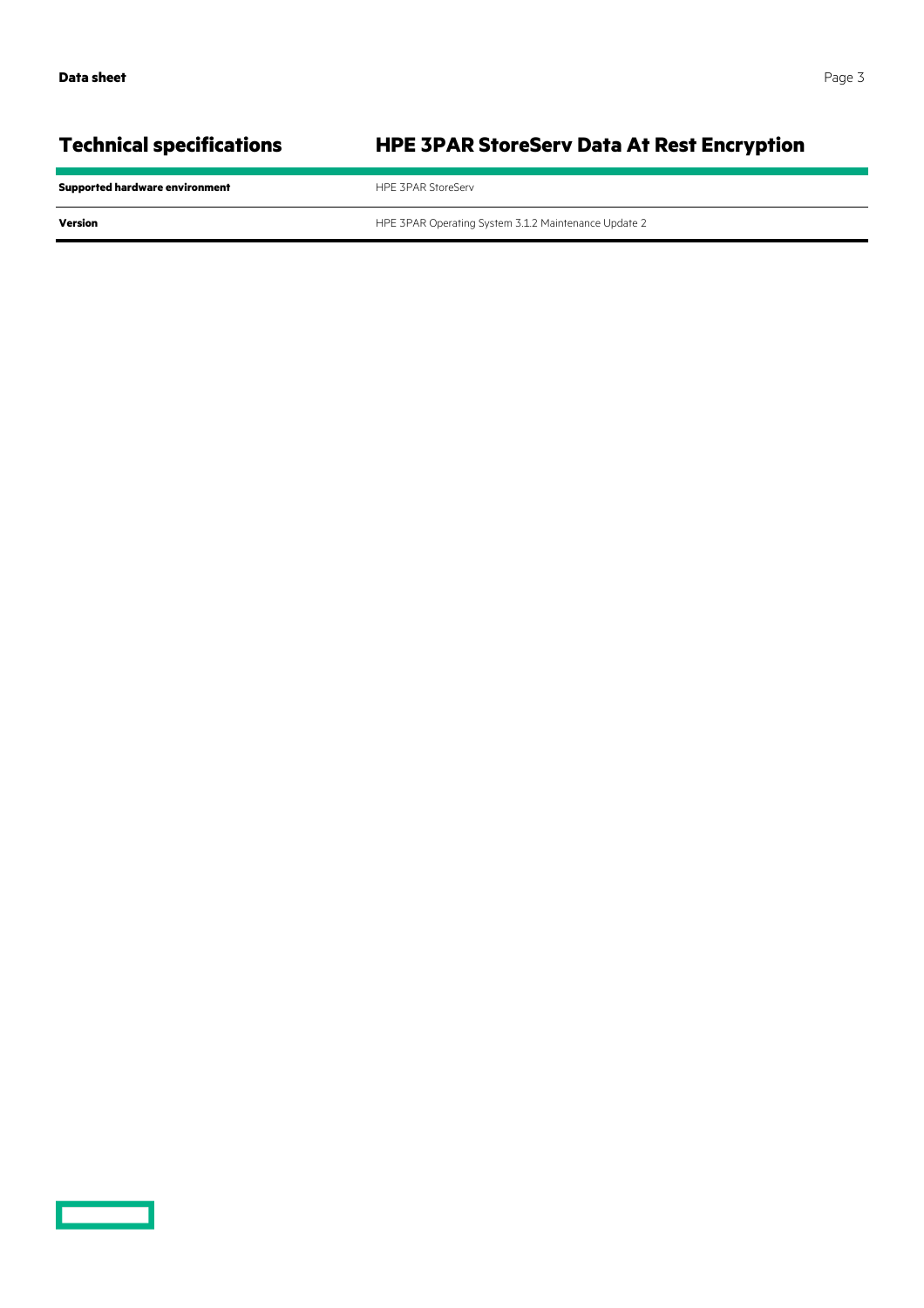# **Technical specifications HPE 3PAR StoreServ Data At Rest Encryption**

**Supported hardware environment HPE 3PAR StoreServ Version Version HPE 3PAR Operating System 3.1.2 Maintenance Update 2**